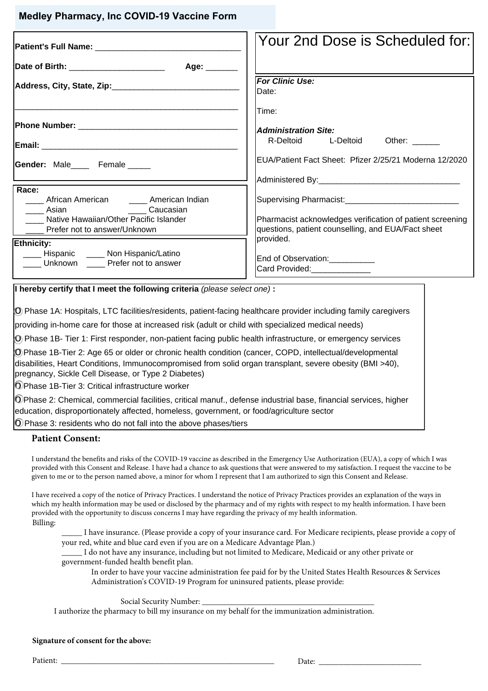## **Medley Pharmacy, Inc COVID-19 Vaccine Form**

|                                                                                       | Your 2nd Dose is Scheduled for:                                                                                 |
|---------------------------------------------------------------------------------------|-----------------------------------------------------------------------------------------------------------------|
| Age: $\_\_$                                                                           |                                                                                                                 |
|                                                                                       | <b>For Clinic Use:</b><br>IDate:                                                                                |
|                                                                                       | Time:                                                                                                           |
|                                                                                       | <b>Administration Site:</b>                                                                                     |
|                                                                                       | R-Deltoid L-Deltoid Other:                                                                                      |
| Gender: Male Female                                                                   | EUA/Patient Fact Sheet: Pfizer 2/25/21 Moderna 12/2020                                                          |
|                                                                                       |                                                                                                                 |
| Race:<br>____ African American _____ American Indian<br>Laucasian Caucasian           |                                                                                                                 |
| Native Hawaiian/Other Pacific Islander<br>Prefer not to answer/Unknown                | Pharmacist acknowledges verification of patient screening<br>questions, patient counselling, and EUA/Fact sheet |
| Ethnicity:                                                                            | provided.                                                                                                       |
| ____ Hispanic ____ Non Hispanic/Latino<br>Unknown _____ Prefer not to answer          | End of Observation:__________<br>Card Provided: 2000                                                            |
| $\mu$ berefy cortify that $\mu$ most the following criteria (please select and) $\mu$ |                                                                                                                 |

**I hereby certify that I meet the following criteria** (please select one) **:** 

o Phase 1A: Hospitals, LTC facilities/residents, patient-facing healthcare provider including family caregivers

providing in-home care for those at increased risk (adult or child with specialized medical needs)

o Phase 1B- Tier 1: First responder, non-patient facing public health infrastructure, or emergency services

o Phase 1B-Tier 2: Age 65 or older or chronic health condition (cancer, COPD, intellectual/developmental disabilities, Heart Conditions, Immunocompromised from solid organ transplant, severe obesity (BMI >40), pregnancy, Sickle Cell Disease, or Type 2 Diabetes)

o Phase 1B-Tier 3: Critical infrastructure worker

 $\odot$ Phase 2: Chemical, commercial facilities, critical manuf., defense industrial base, financial services, higher education, disproportionately affected, homeless, government, or food/agriculture sector

 $\overline{O}$  Phase 3: residents who do not fall into the above phases/tiers

## **Patient Consent:**

I understand the benefits and risks of the COVID-19 vaccine as described in the Emergency Use Authorization (EUA), a copy of which I was provided with this Consent and Release. I have had a chance to ask questions that were answered to my satisfaction. I request the vaccine to be given to me or to the person named above, a minor for whom I represent that I am authorized to sign this Consent and Release.

I have received a copy of the notice of Privacy Practices. I understand the notice of Privacy Practices provides an explanation of the ways in which my health information may be used or disclosed by the pharmacy and of my rights with respect to my health information. I have been provided with the opportunity to discuss concerns I may have regarding the privacy of my health information. Billing:

\_\_\_\_\_ I have insurance. (Please provide a copy of your insurance card. For Medicare recipients, please provide a copy of your red, white and blue card even if you are on a Medicare Advantage Plan.)

\_\_\_\_\_ I do not have any insurance, including but not limited to Medicare, Medicaid or any other private or government-funded health benefit plan.

In order to have your vaccine administration fee paid for by the United States Health Resources & Services Administration's COVID-19 Program for uninsured patients, please provide:

Social Security Number:

I authorize the pharmacy to bill my insurance on my behalf for the immunization administration.

## **Signature of consent for the above:**

Patient: \_\_\_\_\_\_\_\_\_\_\_\_\_\_\_\_\_\_\_\_\_\_\_\_\_\_\_\_\_\_\_\_\_\_\_\_\_\_\_\_\_\_\_\_\_\_\_\_\_\_\_\_ Date: \_\_\_\_\_\_\_\_\_\_\_\_\_\_\_\_\_\_\_\_\_\_\_\_\_